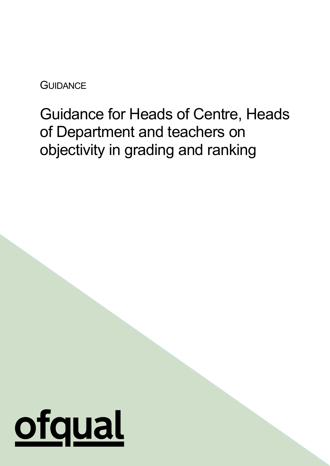**GUIDANCE** 

# Guidance for Heads of Centre, Heads of Department and teachers on objectivity in grading and ranking

1

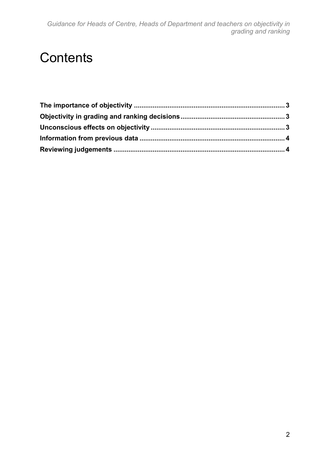## **Contents**

<span id="page-1-0"></span>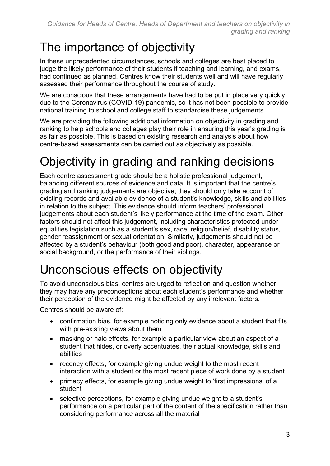#### The importance of objectivity

In these unprecedented circumstances, schools and colleges are best placed to judge the likely performance of their students if teaching and learning, and exams, had continued as planned. Centres know their students well and will have regularly assessed their performance throughout the course of study.

We are conscious that these arrangements have had to be put in place very quickly due to the Coronavirus (COVID-19) pandemic, so it has not been possible to provide national training to school and college staff to standardise these judgements.

We are providing the following additional information on objectivity in grading and ranking to help schools and colleges play their role in ensuring this year's grading is as fair as possible. This is based on existing research and analysis about how centre-based assessments can be carried out as objectively as possible.

# <span id="page-2-0"></span>Objectivity in grading and ranking decisions

Each centre assessment grade should be a holistic professional judgement, balancing different sources of evidence and data. It is important that the centre's grading and ranking judgements are objective; they should only take account of existing records and available evidence of a student's knowledge, skills and abilities in relation to the subject. This evidence should inform teachers' professional judgements about each student's likely performance at the time of the exam. Other factors should not affect this judgement, including characteristics protected under equalities legislation such as a student's sex, race, religion/belief, disability status, gender reassignment or sexual orientation. Similarly, judgements should not be affected by a student's behaviour (both good and poor), character, appearance or social background, or the performance of their siblings.

#### <span id="page-2-1"></span>Unconscious effects on objectivity

To avoid unconscious bias, centres are urged to reflect on and question whether they may have any preconceptions about each student's performance and whether their perception of the evidence might be affected by any irrelevant factors.

Centres should be aware of:

- confirmation bias, for example noticing only evidence about a student that fits with pre-existing views about them
- masking or halo effects, for example a particular view about an aspect of a student that hides, or overly accentuates, their actual knowledge, skills and abilities
- recency effects, for example giving undue weight to the most recent interaction with a student or the most recent piece of work done by a student
- primacy effects, for example giving undue weight to 'first impressions' of a student
- selective perceptions, for example giving undue weight to a student's performance on a particular part of the content of the specification rather than considering performance across all the material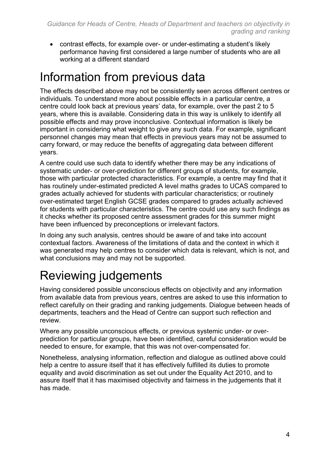• contrast effects, for example over- or under-estimating a student's likely performance having first considered a large number of students who are all working at a different standard

#### <span id="page-3-0"></span>Information from previous data

The effects described above may not be consistently seen across different centres or individuals. To understand more about possible effects in a particular centre, a centre could look back at previous years' data, for example, over the past 2 to 5 years, where this is available. Considering data in this way is unlikely to identify all possible effects and may prove inconclusive. Contextual information is likely be important in considering what weight to give any such data. For example, significant personnel changes may mean that effects in previous years may not be assumed to carry forward, or may reduce the benefits of aggregating data between different years.

A centre could use such data to identify whether there may be any indications of systematic under- or over-prediction for different groups of students, for example, those with particular protected characteristics. For example, a centre may find that it has routinely under-estimated predicted A level maths grades to UCAS compared to grades actually achieved for students with particular characteristics; or routinely over-estimated target English GCSE grades compared to grades actually achieved for students with particular characteristics. The centre could use any such findings as it checks whether its proposed centre assessment grades for this summer might have been influenced by preconceptions or irrelevant factors.

In doing any such analysis, centres should be aware of and take into account contextual factors. Awareness of the limitations of data and the context in which it was generated may help centres to consider which data is relevant, which is not, and what conclusions may and may not be supported.

## <span id="page-3-1"></span>Reviewing judgements

Having considered possible unconscious effects on objectivity and any information from available data from previous years, centres are asked to use this information to reflect carefully on their grading and ranking judgements. Dialogue between heads of departments, teachers and the Head of Centre can support such reflection and review.

Where any possible unconscious effects, or previous systemic under- or overprediction for particular groups, have been identified, careful consideration would be needed to ensure, for example, that this was not over-compensated for.

Nonetheless, analysing information, reflection and dialogue as outlined above could help a centre to assure itself that it has effectively fulfilled its duties to promote equality and avoid discrimination as set out under the Equality Act 2010, and to assure itself that it has maximised objectivity and fairness in the judgements that it has made.